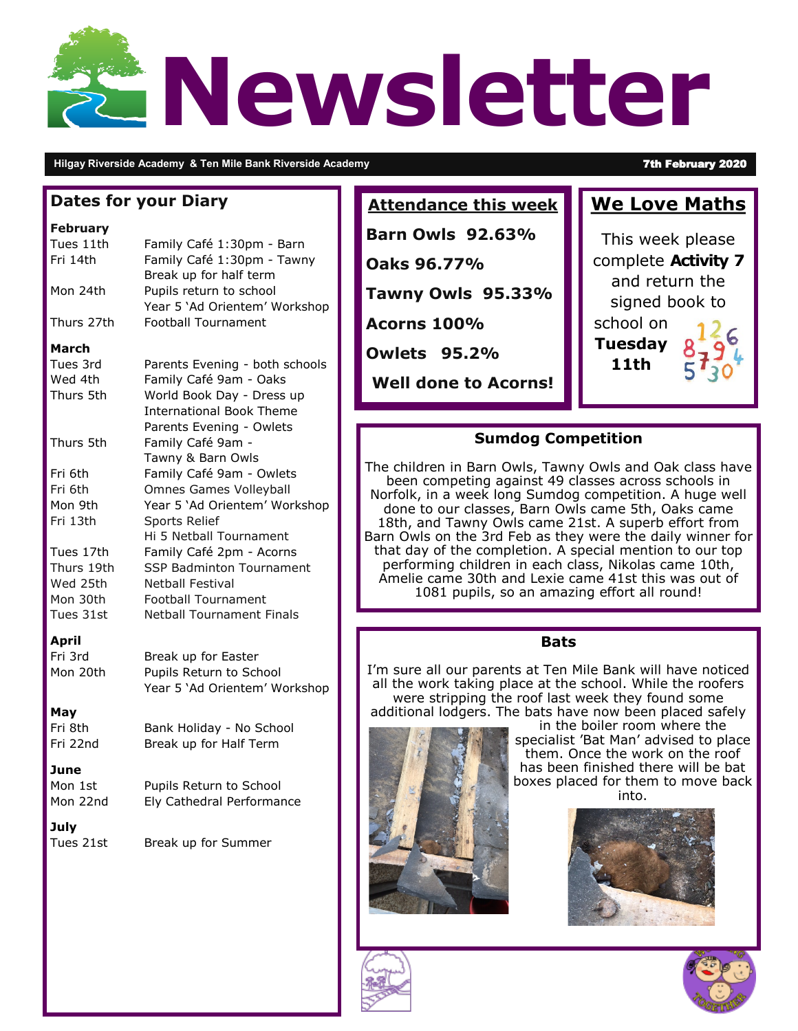# **Newsletter**

#### **Hilgay Riverside Academy & Ten Mile Bank Riverside Academy <b>7th February 2020**

| <b>Dates for your Diary</b>                                                                                            |                                                                                                                                                                                                                                                                                                                                                            | <b>Attendance this week</b>                                                                                                                                                                                                                                                                                                                                                                                                                                                                                                               | <b>We Love I</b>                                                                   |
|------------------------------------------------------------------------------------------------------------------------|------------------------------------------------------------------------------------------------------------------------------------------------------------------------------------------------------------------------------------------------------------------------------------------------------------------------------------------------------------|-------------------------------------------------------------------------------------------------------------------------------------------------------------------------------------------------------------------------------------------------------------------------------------------------------------------------------------------------------------------------------------------------------------------------------------------------------------------------------------------------------------------------------------------|------------------------------------------------------------------------------------|
| <b>February</b><br>Tues 11th<br>Fri 14th<br>Mon 24th<br>Thurs 27th<br><b>March</b>                                     | Family Café 1:30pm - Barn<br>Family Café 1:30pm - Tawny<br>Break up for half term<br>Pupils return to school<br>Year 5 'Ad Orientem' Workshop<br>Football Tournament                                                                                                                                                                                       | <b>Barn Owls 92.63%</b><br>Oaks 96.77%<br><b>Tawny Owls 95.33%</b><br><b>Acorns 100%</b><br><b>Owlets 95.2%</b>                                                                                                                                                                                                                                                                                                                                                                                                                           | This week p<br>complete Ac<br>and return<br>signed bo<br>school on<br>Tuesday<br>S |
| Tues 3rd<br>Wed 4th<br>Thurs 5th                                                                                       | Parents Evening - both schools<br>Family Café 9am - Oaks<br>World Book Day - Dress up<br><b>International Book Theme</b>                                                                                                                                                                                                                                   | <b>Well done to Acorns!</b>                                                                                                                                                                                                                                                                                                                                                                                                                                                                                                               | 11th                                                                               |
| Thurs 5th<br>Fri 6th<br>Fri 6th<br>Mon 9th<br>Fri 13th<br>Tues 17th<br>Thurs 19th<br>Wed 25th<br>Mon 30th<br>Tues 31st | Parents Evening - Owlets<br>Family Café 9am -<br>Tawny & Barn Owls<br>Family Café 9am - Owlets<br><b>Omnes Games Volleyball</b><br>Year 5 'Ad Orientem' Workshop<br>Sports Relief<br>Hi 5 Netball Tournament<br>Family Café 2pm - Acorns<br>SSP Badminton Tournament<br>Netball Festival<br><b>Football Tournament</b><br><b>Netball Tournament Finals</b> | <b>Sumdog Competition</b><br>The children in Barn Owls, Tawny Owls and Oak o<br>been competing against 49 classes across sch<br>Norfolk, in a week long Sumdog competition. A h<br>done to our classes, Barn Owls came 5th, Oaks<br>18th, and Tawny Owls came 21st. A superb effo<br>Barn Owls on the 3rd Feb as they were the daily<br>that day of the completion. A special mention to<br>performing children in each class, Nikolas came<br>Amelie came 30th and Lexie came 41st this wa<br>1081 pupils, so an amazing effort all roun |                                                                                    |
| <b>April</b><br>Fri 3rd<br>Mon 20th<br>May<br>Fri 8th<br>Fri 22nd<br>June<br>Mon 1st<br>Mon 22nd<br>July               | Break up for Easter<br>Pupils Return to School<br>Year 5 'Ad Orientem' Workshop<br>Bank Holiday - No School<br>Break up for Half Term<br>Pupils Return to School<br>Ely Cathedral Performance                                                                                                                                                              | <b>Bats</b><br>I'm sure all our parents at Ten Mile Bank will hav<br>all the work taking place at the school. While the<br>were stripping the roof last week they found<br>additional lodgers. The bats have now been place<br>in the boiler room where<br>specialist 'Bat Man' advised<br>them. Once the work on<br>has been finished there w<br>boxes placed for them to n<br>into.                                                                                                                                                     |                                                                                    |
| Tues 21st                                                                                                              | Break up for Summer                                                                                                                                                                                                                                                                                                                                        |                                                                                                                                                                                                                                                                                                                                                                                                                                                                                                                                           |                                                                                    |



lass have ools in huge well s came ort from winner for our top e 10th,  $\overline{\phantom{a}}$ s out of 1081 pupils, so an amazing effort all round!

'e noticed e roofers some ed safely



re the d to place the roof ill be bat nove back